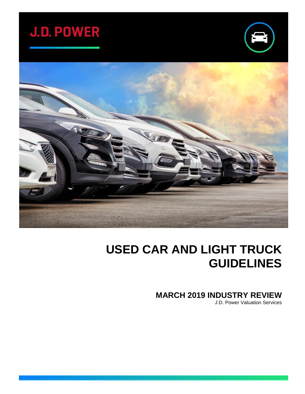# **J.D. POWER**





## **USED CAR AND LIGHT TRUCK GUIDELINES**

**MARCH 2019 INDUSTRY REVIEW**

J.D. Power Valuation Services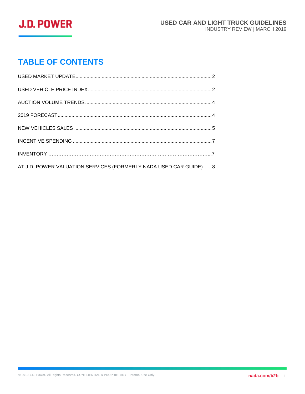

## **TABLE OF CONTENTS**

| AT J.D. POWER VALUATION SERVICES (FORMERLY NADA USED CAR GUIDE)  8 |  |
|--------------------------------------------------------------------|--|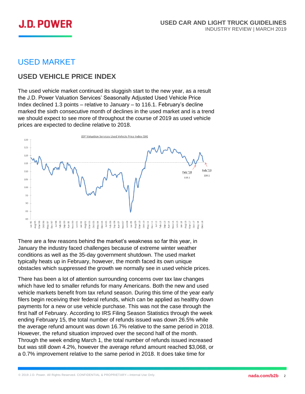

## <span id="page-2-0"></span>USED MARKET

## **USED VEHICLE PRICE INDEX**

The used vehicle market continued its sluggish start to the new year, as a result the J.D. Power Valuation Services' Seasonally Adjusted Used Vehicle Price Index declined 1.3 points – relative to January – to 116.1. February's decline marked the sixth consecutive month of declines in the used market and is a trend we should expect to see more of throughout the course of 2019 as used vehicle prices are expected to decline relative to 2018.



There are a few reasons behind the market's weakness so far this year, in January the industry faced challenges because of extreme winter weather conditions as well as the 35-day government shutdown. The used market typically heats up in February, however, the month faced its own unique obstacles which suppressed the growth we normally see in used vehicle prices.

There has been a lot of attention surrounding concerns over tax law changes which have led to smaller refunds for many Americans. Both the new and used vehicle markets benefit from tax refund season. During this time of the year early filers begin receiving their federal refunds, which can be applied as healthy down payments for a new or use vehicle purchase. This was not the case through the first half of February. According to IRS Filing Season Statistics through the week ending February 15, the total number of refunds issued was down 26.5% while the average refund amount was down 16.7% relative to the same period in 2018. However, the refund situation improved over the second half of the month. Through the week ending March 1, the total number of refunds issued increased but was still down 4.2%, however the average refund amount reached \$3,068, or a 0.7% improvement relative to the same period in 2018. It does take time for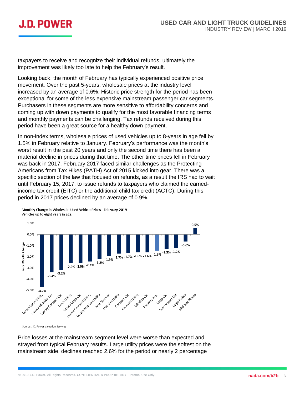

taxpayers to receive and recognize their individual refunds, ultimately the improvement was likely too late to help the February's result.

Looking back, the month of February has typically experienced positive price movement. Over the past 5-years, wholesale prices at the industry level increased by an average of 0.6%. Historic price strength for the period has been exceptional for some of the less expensive mainstream passenger car segments. Purchasers in these segments are more sensitive to affordability concerns and coming up with down payments to qualify for the most favorable financing terms and monthly payments can be challenging. Tax refunds received during this period have been a great source for a healthy down payment.

In non-index terms, wholesale prices of used vehicles up to 8-years in age fell by 1.5% in February relative to January. February's performance was the month's worst result in the past 20 years and only the second time there has been a material decline in prices during that time. The other time prices fell in February was back in 2017. February 2017 faced similar challenges as the Protecting Americans from Tax Hikes (PATH) Act of 2015 kicked into gear. There was a specific section of the law that focused on refunds, as a result the IRS had to wait until February 15, 2017, to issue refunds to taxpayers who claimed the earnedincome tax credit (EITC) or the additional child tax credit (ACTC). During this period in 2017 prices declined by an average of 0.9%.



Monthly Change in Wholesale Used Vehicle Prices - February 2019 Vehicles up to eight years in age.

Source: J.D. Power Valuation Services

Price losses at the mainstream segment level were worse than expected and strayed from typical February results. Large utility prices were the softest on the mainstream side, declines reached 2.6% for the period or nearly 2 percentage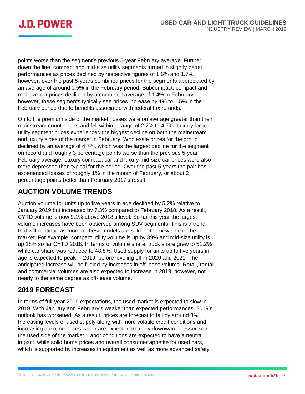

points worse than the segment's previous 5-year February average. Further down the line, compact and mid-size utility segments turned in slightly better performances as prices declined by respective figures of 1.6% and 1.7%, however, over the past 5-years combined prices for the segments appreciated by an average of around 0.5% in the February period. Subcompact, compact and mid-size car prices declined by a combined average of 1.4% in February, however, these segments typically see prices increase by 1% to 1.5% in the February period due to benefits associated with federal tax refunds.

On to the premium side of the market, losses were on average greater than their mainstream counterparts and fell within a range of 2.2% to 4.7%. Luxury large utility segment prices experienced the biggest decline on both the mainstream and luxury sides of the market in February. Wholesale prices for the group declined by an average of 4.7%, which was the largest decline for the segment on record and roughly 3 percentage points worse than the previous 5-year February average. Luxury compact car and luxury mid-size car prices were also more depressed than typical for the period. Over the past 5-years the pair has experienced losses of roughly 1% in the month of February, or about 2 percentage points better than February 2017's result.

## **AUCTION VOLUME TRENDS**

Auction volume for units up to five years in age declined by 5.2% relative to January 2019 but increased by 7.3% compared to February 2018. As a result, CYTD volume is now 9.1% above 2018's level. So far this year the largest volume increases have been observed among SUV segments. This is a trend that will continue as more of these models are sold on the new side of the market. For example, compact utility volume is up by 39% and mid-size utility is up 18% so far CYTD 2018. In terms of volume share, truck share grew to 51.2% while car share was reduced to 48.8%. Used supply for units up to five years in age is expected to peak in 2019, before leveling off in 2020 and 2021. The anticipated increase will be fueled by increases in off-lease volume. Retail, rental and commercial volumes are also expected to increase in 2019, however, not nearly to the same degree as off-lease volume.

## **2019 FORECAST**

In terms of full-year 2019 expectations, the used market is expected to slow in 2019. With January and February's weaker than expected performances, 2019's outlook has worsened. As a result, prices are forecast to fall by around 3%. Increasing levels of used supply along with more volatile credit conditions and increasing gasoline prices which are expected to apply downward pressure on the used side of the market. Labor conditions are expected to have a neutral impact, while solid home prices and overall consumer appetite for used cars, which is supported by increases in equipment as well as more advanced safety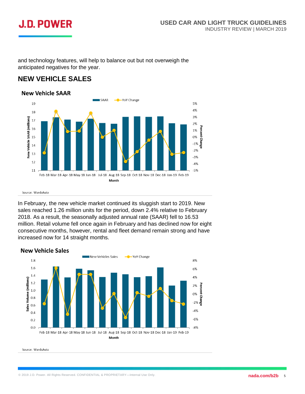## **J.D. POWER**

and technology features, will help to balance out but not overweigh the anticipated negatives for the year.

## **NEW VEHICLE SALES**



Source: WardsAuto

In February, the new vehicle market continued its sluggish start to 2019. New sales reached 1.26 million units for the period, down 2.4% relative to February 2018. As a result, the seasonally adjusted annual rate (SAAR) fell to 16.53 million. Retail volume fell once again in February and has declined now for eight consecutive months, however, rental and fleet demand remain strong and have increased now for 14 straight months.

#### **New Vehicle Sales**



Source: WardsAuto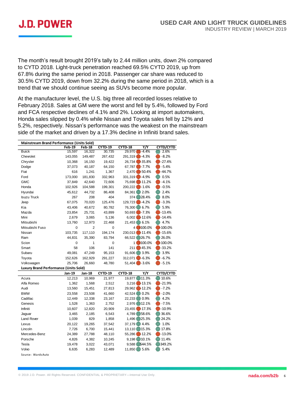

The month's result brought 2019's tally to 2.44 million units, down 2% compared to CYTD 2018. Light-truck penetration reached 69.5% CYTD 2019, up from 67.8% during the same period in 2018. Passenger car share was reduced to 30.5% CYTD 2019, down from 32.2% during the same period in 2018, which is a trend that we should continue seeing as SUVs become more popular.

At the manufacturer level, the U.S. big three all recorded losses relative to February 2018. Sales at GM were the worst and fell by 5.4%, followed by Ford and FCA respective declines of 4.1% and 2%. Looking at import automakers, Honda sales slipped by 0.4% while Nissan and Toyota sales fell by 12% and 5.2%, respectively. Nissan's performance was the weakest on the mainstream side of the market and driven by a 17.3% decline in Infiniti brand sales.

| Mainstream Brand Performance (Units Sold)    |         |         |                |                |           |                  |  |  |
|----------------------------------------------|---------|---------|----------------|----------------|-----------|------------------|--|--|
|                                              | Feb-19  | Feb-18  | <b>CYTD-19</b> | <b>CYTD-18</b> | Y/Y       | <b>CYTD/CYTD</b> |  |  |
| <b>Buick</b>                                 | 15,597  | 16,322  | 30,735         | 29,970         | $-4.4%$   | 2.6%             |  |  |
| Chevrolet                                    | 143,055 | 149,487 | 267,432        | 291,319        | $-4.3%$   | $-8.2%$          |  |  |
| Chrysler                                     | 10,368  | 16,150  | 19,422         | 26,734         | $-35.8%$  | -27.4%           |  |  |
| Dodge                                        | 37,073  | 40,187  | 64,150         | 67,787         | $-7.7%$   | $-5.4%$          |  |  |
| Fiat                                         | 616     | 1,241   | 1,367          | 2,470          | $-50.4%$  | $-44.7%$         |  |  |
| Ford                                         | 173,000 | 181,830 | 332,963        | 331,319        | $-4.9%$   | 0.5%             |  |  |
| GMC                                          | 37,849  | 42,640  | 72,606         | 75,698         | $-11.2%$  | $-4.1%$          |  |  |
| Honda                                        | 102,926 | 104,588 | 199,301        | 200,222        | $-1.6%$   | $-0.5%$          |  |  |
| Hyundai                                      | 45,612  | 44,732  | 86,408         | 84,361         | 2.0%      | 2.4%             |  |  |
| <b>Isuzu Truck</b>                           | 267     | 208     | 404            | 374            | 28.4%     | 8.0%             |  |  |
| Jeep                                         | 67,075  | 70,020  | 125,476        | 129,723        | $-4.2%$   | $-3.3%$          |  |  |
| Kia                                          | 43,406  | 40,672  | 80,782         | 76,300         | 6.7%      | 5.9%             |  |  |
| Mazda                                        | 23,854  | 25,731  | 43,899         | 50,693         | $-7.3%$   | $-13.4%$         |  |  |
| Mini                                         | 2,679   | 3,065   | 5,136          | 6,002          | $-12.6%$  | $-14.4%$         |  |  |
| Mitsubishi                                   | 13,760  | 12,973  | 22,468         | 21,453         | 6.1%      | 4.7%             |  |  |
| Mitsubishi Fuso                              | 0       | 2       | 0              | 4              | $-100.0%$ | 100.0%           |  |  |
| Nissan                                       | 103,735 | 117,110 | 194,174        | 230,013        | $-11.4%$  | $-15.6%$         |  |  |
| Ram                                          | 44,831  | 35,390  | 83,794         | 66,522         | 26.7%     | 26.0%            |  |  |
| Scion                                        | 0       | 1       | 0              | 1 <sup>1</sup> | $-100.0%$ | 100.0%           |  |  |
| Smart                                        | 58      | 106     | 141            | 211            | $-45.3%$  | $-33.2%$         |  |  |
| Subaru                                       | 49,081  | 47,249  | 95,153         | 91,606         | 3.9%      | 3.9%             |  |  |
| Toyota                                       | 152,626 | 162,929 | 291,227        | 312,071        | $-6.3%$   | $-6.7%$          |  |  |
| Volkswagen                                   | 25,706  | 26,660  | 48,780         | 51,404         | $-3.6%$   | $-5.1%$          |  |  |
| <b>Luxury Brand Performance (Units Sold)</b> |         |         |                |                |           |                  |  |  |
|                                              | Jan-19  | Jan-18  | CYTD-19        | CYTD-18        | Y/Y       | CYTD/CYTD        |  |  |
| Acura                                        | 12,213  | 10,969  | 21,977         | 19,877 11.3%   |           | 10.6%            |  |  |
| Alfa Romeo                                   | 1,362   | 1,568   | 2,512          | 3,216          | $-13.1%$  | $-21.9%$         |  |  |
| Audi                                         | 13,560  | 15,451  | 27,813         | 29,962         | $-12.2%$  | $-7.2%$          |  |  |
| <b>BMW</b>                                   | 23,558  | 23,508  | 41,660         | 42,524         | 0.2%      | $-2.0%$          |  |  |
| Cadillac                                     | 12,449  | 12,338  | 23,167         | 22,233         | 0.9%      | 4.2%             |  |  |
| Genesis                                      | 1,528   | 1,363   | 2,752          | 2,976          | 12.1%     | $-7.5%$          |  |  |
| Infiniti                                     | 10,607  | 12,820  | 20,909         | 23,455         | $-17.3%$  | $-10.9%$         |  |  |
| Jaguar                                       | 3,465   | 2,185   | 6,543          | 4,789          | 58.6%     | 36.6%            |  |  |
| Land Rover                                   | 1,039   | 829     | 1,858          | 1,496          | 25.3%     | 24.2%            |  |  |
| Lexus                                        | 20,122  | 19,265  | 37,542         | 37,179         | (4.4%     | 1.0%             |  |  |
| Lincoln                                      | 7,726   | 6,700   | 15,441         | 13,110         | 15.3%     | 17.8%            |  |  |
| Mercedes-Benz                                | 24,389  | 27,788  | 48,110         | 55,286         | $-12.2%$  | $-13.0%$         |  |  |
| Porsche                                      | 4,826   | 4,382   | 10,245         | 9,198          | 10.1%     | 11.4%            |  |  |
| Tesla                                        | 19,478  | 3,022   | 43,071         | 9,588          | 544.5%    | 349.2%           |  |  |
| Volvo                                        | 6,635   | 6,283   | 12,489         | 11,850         | 5.6%      | 5.4%             |  |  |
| Source: WardsAuto                            |         |         |                |                |           |                  |  |  |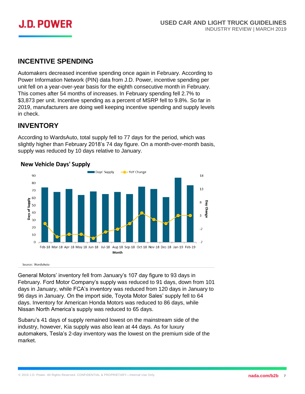

### **INCENTIVE SPENDING**

Automakers decreased incentive spending once again in February. According to Power Information Network (PIN) data from J.D. Power, incentive spending per unit fell on a year-over-year basis for the eighth consecutive month in February. This comes after 54 months of increases. In February spending fell 2.7% to \$3,873 per unit. Incentive spending as a percent of MSRP fell to 9.8%. So far in 2019, manufacturers are doing well keeping incentive spending and supply levels in check.

## **INVENTORY**

According to WardsAuto, total supply fell to 77 days for the period, which was slightly higher than February 2018's 74 day figure. On a month-over-month basis, supply was reduced by 10 days relative to January.

#### - YoY Change Days' Supply 90 18  $80$  $13$ 70 60 **Supply**  $\overline{8}$ Day Chang 50 Days of 40  $\overline{a}$  $30$ 20  $-2$ 10  $\Omega$  $-7$ Feb-18 Mar-18 Apr-18 May-18 Jun-18 Jul-18 Aug-18 Sep-18 Oct-18 Nov-18 Dec-18 Jan-19 Feb-19 Month

#### **New Vehicle Days' Supply**

Source: WardsAuto

General Motors' inventory fell from January's 107 day figure to 93 days in February. Ford Motor Company's supply was reduced to 91 days, down from 101 days in January, while FCA's inventory was reduced from 120 days in January to 96 days in January. On the import side, Toyota Motor Sales' supply fell to 64 days. Inventory for American Honda Motors was reduced to 86 days, while Nissan North America's supply was reduced to 65 days.

Subaru's 41 days of supply remained lowest on the mainstream side of the industry, however, Kia supply was also lean at 44 days. As for luxury automakers, Tesla's 2-day inventory was the lowest on the premium side of the market.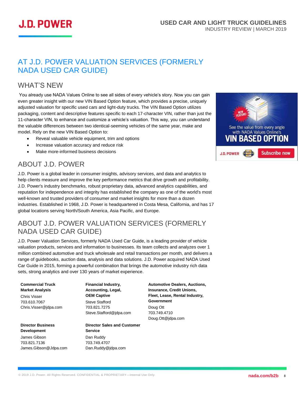

## AT J.D. POWER VALUATION SERVICES (FORMERLY NADA USED CAR GUIDE)

## WHAT'S NEW

You already use NADA Values Online to see all sides of every vehicle's story. Now you can gain even greater insight with our new VIN Based Option feature, which provides a precise, uniquely adjusted valuation for specific used cars and light-duty trucks. The VIN Based Option utilizes packaging, content and descriptive features specific to each 17-character VIN, rather than just the 11-character VIN, to enhance and customize a vehicle's valuation. This way, you can understand the valuable differences between two identical-seeming vehicles of the same year, make and model. Rely on the new VIN Based Option to:

- Reveal valuable vehicle equipment, trim and options
- Increase valuation accuracy and reduce risk
- Make more-informed business decisions

## ABOUT J.D. POWER

J.D. Power is a global leader in consumer insights, advisory services, and data and analytics to help clients measure and improve the key performance metrics that drive growth and profitability. J.D. Power's industry benchmarks, robust proprietary data, advanced analytics capabilities, and reputation for independence and integrity has established the company as one of the world's most well-known and trusted providers of consumer and market insights for more than a dozen industries. Established in 1968, J.D. Power is headquartered in Costa Mesa, California, and has 17 global locations serving North/South America, Asia Pacific, and Europe.

## <span id="page-8-0"></span>ABOUT J.D. POWER VALUATION SERVICES (FORMERLY NADA USED CAR GUIDE)

J.D. Power Valuation Services, formerly NADA Used Car Guide, is a leading provider of vehicle valuation products, services and information to businesses. Its team collects and analyzes over 1 million combined automotive and truck wholesale and retail transactions per month, and delivers a range of guidebooks, auction data, analysis and data solutions. J.D. Power acquired NADA Used Car Guide in 2015, forming a powerful combination that brings the automotive industry rich data sets, strong analytics and over 130 years of market experience.

#### **Commercial Truck Market Analysis**

Chris Visser 703.610.7067 Chris.Visser@jdpa.com

**Director Business Development** 

James Gibson 703.821.7136 James.Gibson@Jdpa.com **Financial Industry, Accounting, Legal, OEM Captive** Steve Stafford 703.821.7275 Steve.Stafford@jdpa.com

### **Director Sales and Customer Service** Dan Ruddy

703.749.4707 Dan.Ruddy@jdpa.com **Automotive Dealers, Auctions, Insurance, Credit Unions, Fleet, Lease, Rental Industry, Government** Doug Ott 703.749.4710 Doug.Ott@jdpa.com